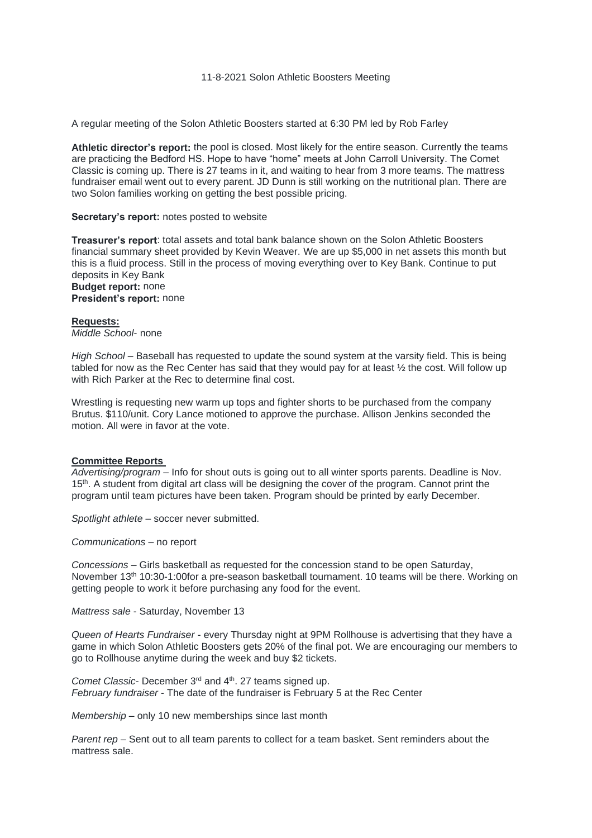#### 11-8-2021 Solon Athletic Boosters Meeting

A regular meeting of the Solon Athletic Boosters started at 6:30 PM led by Rob Farley

**Athletic director's report:** the pool is closed. Most likely for the entire season. Currently the teams are practicing the Bedford HS. Hope to have "home" meets at John Carroll University. The Comet Classic is coming up. There is 27 teams in it, and waiting to hear from 3 more teams. The mattress fundraiser email went out to every parent. JD Dunn is still working on the nutritional plan. There are two Solon families working on getting the best possible pricing.

### **Secretary's report:** notes posted to website

**Treasurer's report**: total assets and total bank balance shown on the Solon Athletic Boosters financial summary sheet provided by Kevin Weaver. We are up \$5,000 in net assets this month but this is a fluid process. Still in the process of moving everything over to Key Bank. Continue to put deposits in Key Bank **Budget report:** none **President's report:** none

# **Requests:**

*Middle School*- none

*High School* – Baseball has requested to update the sound system at the varsity field. This is being tabled for now as the Rec Center has said that they would pay for at least ½ the cost. Will follow up with Rich Parker at the Rec to determine final cost.

Wrestling is requesting new warm up tops and fighter shorts to be purchased from the company Brutus. \$110/unit. Cory Lance motioned to approve the purchase. Allison Jenkins seconded the motion. All were in favor at the vote.

## **Committee Reports**

*Advertising/program* – Info for shout outs is going out to all winter sports parents. Deadline is Nov. 15<sup>th</sup>. A student from digital art class will be designing the cover of the program. Cannot print the program until team pictures have been taken. Program should be printed by early December.

*Spotlight athlete* – soccer never submitted.

*Communications* – no report

*Concessions* – Girls basketball as requested for the concession stand to be open Saturday, November 13<sup>th</sup> 10:30-1:00for a pre-season basketball tournament. 10 teams will be there. Working on getting people to work it before purchasing any food for the event.

*Mattress sale* - Saturday, November 13

*Queen of Hearts Fundraiser* - every Thursday night at 9PM Rollhouse is advertising that they have a game in which Solon Athletic Boosters gets 20% of the final pot. We are encouraging our members to go to Rollhouse anytime during the week and buy \$2 tickets.

*Comet Classic*- December 3<sup>rd</sup> and 4<sup>th</sup>. 27 teams signed up. *February fundraiser* - The date of the fundraiser is February 5 at the Rec Center

*Membership* – only 10 new memberships since last month

*Parent rep* – Sent out to all team parents to collect for a team basket. Sent reminders about the mattress sale.